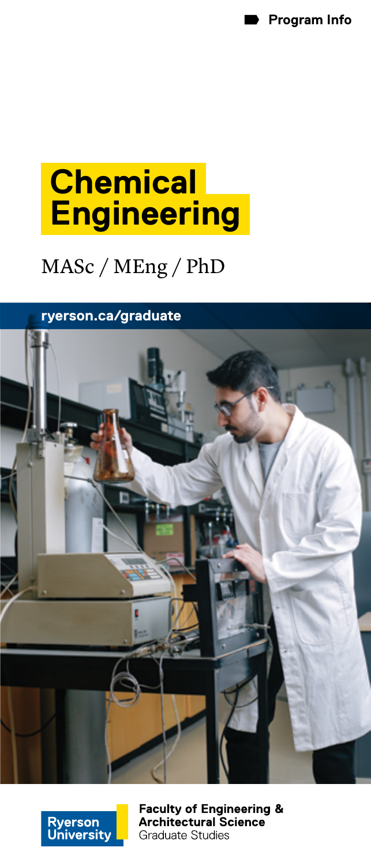

# **Chemical Engineering**

# MASc / MEng / PhD

**[ryerson.ca/graduate](http://ryerson.ca/graduate)**





**Faculty of Engineering & Architectural Science Graduate Studies**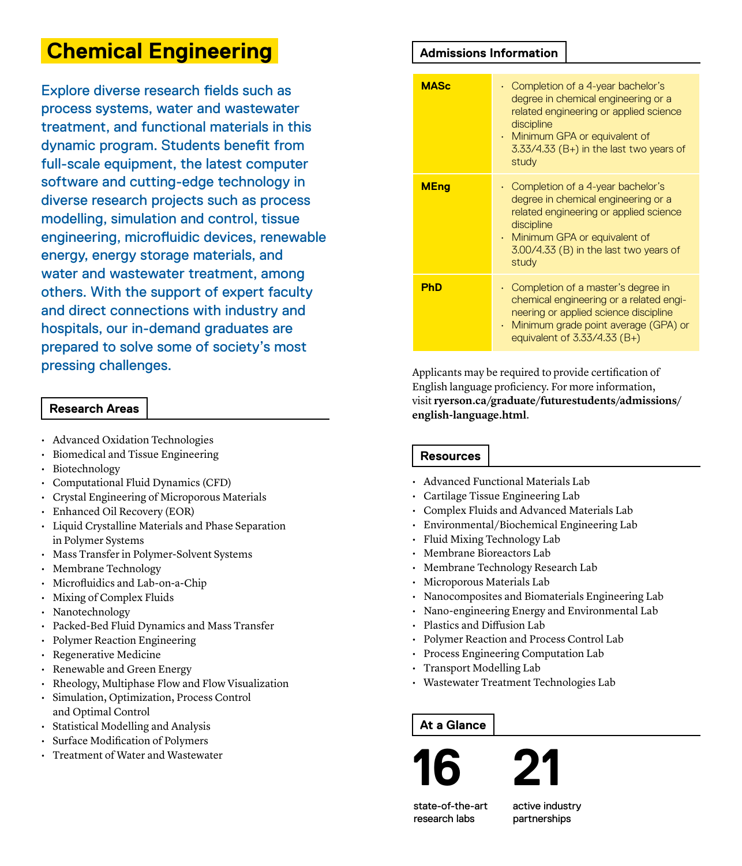# **Chemical Engineering**

Explore diverse research fields such as process systems, water and wastewater treatment, and functional materials in this dynamic program. Students benefit from full-scale equipment, the latest computer software and cutting-edge technology in diverse research projects such as process modelling, simulation and control, tissue engineering, microfluidic devices, renewable energy, energy storage materials, and water and wastewater treatment, among others. With the support of expert faculty and direct connections with industry and hospitals, our in-demand graduates are prepared to solve some of society's most pressing challenges.

#### **Research Areas**

- Advanced Oxidation Technologies
- Biomedical and Tissue Engineering
- Biotechnology
- Computational Fluid Dynamics (CFD)
- Crystal Engineering of Microporous Materials
- Enhanced Oil Recovery (EOR)
- Liquid Crystalline Materials and Phase Separation in Polymer Systems
- Mass Transfer in Polymer-Solvent Systems
- Membrane Technology
- Microfluidics and Lab-on-a-Chip
- Mixing of Complex Fluids
- Nanotechnology
- Packed-Bed Fluid Dynamics and Mass Transfer
- Polymer Reaction Engineering
- Regenerative Medicine
- Renewable and Green Energy
- Rheology, Multiphase Flow and Flow Visualization
- Simulation, Optimization, Process Control and Optimal Control
- Statistical Modelling and Analysis
- Surface Modification of Polymers
- Treatment of Water and Wastewater

#### **Admissions Information**

| <b>MASc</b> | $\cdot$ Completion of a 4-year bachelor's<br>degree in chemical engineering or a<br>related engineering or applied science<br>discipline<br>• Minimum GPA or equivalent of<br>$3.33/4.33$ (B+) in the last two years of<br>study    |
|-------------|-------------------------------------------------------------------------------------------------------------------------------------------------------------------------------------------------------------------------------------|
| <b>MEng</b> | $\cdot$ Completion of a 4-year bachelor's<br>degree in chemical engineering or a<br>related engineering or applied science<br>discipline<br>$\cdot$ Minimum GPA or equivalent of<br>3.00/4.33 (B) in the last two years of<br>study |
| <b>PhD</b>  | $\cdot$ Completion of a master's degree in<br>chemical engineering or a related engi-<br>neering or applied science discipline<br>Minimum grade point average (GPA) or<br>equivalent of $3.33/4.33$ (B+)                            |

Applicants may be required to provide certification of English language proficiency. For more information, visit **[ryerson.ca/graduate/futurestudents/admissions/](www.ryerson.ca/graduate/futurestudents/admissions/english-language.html) [english-language.html](www.ryerson.ca/graduate/futurestudents/admissions/english-language.html)**.

### **Resources**

- Advanced Functional Materials Lab
- Cartilage Tissue Engineering Lab
- Complex Fluids and Advanced Materials Lab
- Environmental/Biochemical Engineering Lab
- Fluid Mixing Technology Lab
- Membrane Bioreactors Lab
- Membrane Technology Research Lab
- Microporous Materials Lab
- Nanocomposites and Biomaterials Engineering Lab
- Nano-engineering Energy and Environmental Lab
- Plastics and Diffusion Lab
- Polymer Reaction and Process Control Lab
- Process Engineering Computation Lab
- Transport Modelling Lab
- Wastewater Treatment Technologies Lab

### **At a Glance**



state-of-the-art research labs

active industry partnerships